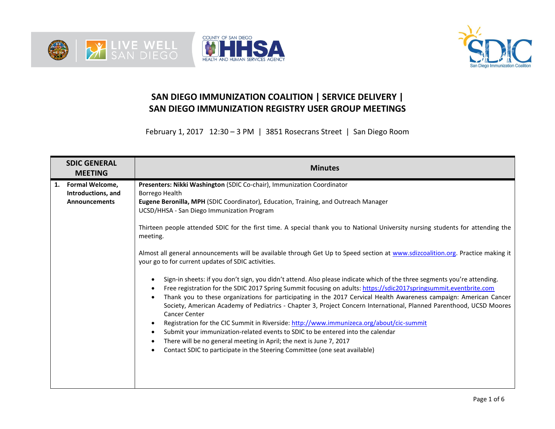





## **SAN DIEGO IMMUNIZATION COALITION | SERVICE DELIVERY | SAN DIEGO IMMUNIZATION REGISTRY USER GROUP MEETINGS**

February 1, 2017 12:30 – 3 PM | 3851 Rosecrans Street | San Diego Room

| <b>SDIC GENERAL</b><br><b>MEETING</b>                                      | <b>Minutes</b>                                                                                                                                                                                                                                                                                                                                                                                                                                                                                                                                                                                                                                                                                                                                                                                                                                                                                                                                                                                                                                                                                                                                                                                                                                                                                                                                                                                                                                                                      |
|----------------------------------------------------------------------------|-------------------------------------------------------------------------------------------------------------------------------------------------------------------------------------------------------------------------------------------------------------------------------------------------------------------------------------------------------------------------------------------------------------------------------------------------------------------------------------------------------------------------------------------------------------------------------------------------------------------------------------------------------------------------------------------------------------------------------------------------------------------------------------------------------------------------------------------------------------------------------------------------------------------------------------------------------------------------------------------------------------------------------------------------------------------------------------------------------------------------------------------------------------------------------------------------------------------------------------------------------------------------------------------------------------------------------------------------------------------------------------------------------------------------------------------------------------------------------------|
| <b>Formal Welcome,</b><br>1.<br>Introductions, and<br><b>Announcements</b> | Presenters: Nikki Washington (SDIC Co-chair), Immunization Coordinator<br>Borrego Health<br>Eugene Beronilla, MPH (SDIC Coordinator), Education, Training, and Outreach Manager<br>UCSD/HHSA - San Diego Immunization Program<br>Thirteen people attended SDIC for the first time. A special thank you to National University nursing students for attending the<br>meeting.<br>Almost all general announcements will be available through Get Up to Speed section at www.sdizcoalition.org. Practice making it<br>your go to for current updates of SDIC activities.<br>Sign-in sheets: if you don't sign, you didn't attend. Also please indicate which of the three segments you're attending.<br>Free registration for the SDIC 2017 Spring Summit focusing on adults: https://sdic2017springsummit.eventbrite.com<br>Thank you to these organizations for participating in the 2017 Cervical Health Awareness campaign: American Cancer<br>Society, American Academy of Pediatrics - Chapter 3, Project Concern International, Planned Parenthood, UCSD Moores<br><b>Cancer Center</b><br>Registration for the CIC Summit in Riverside: http://www.immunizeca.org/about/cic-summit<br>$\bullet$<br>Submit your immunization-related events to SDIC to be entered into the calendar<br>$\bullet$<br>There will be no general meeting in April; the next is June 7, 2017<br>$\bullet$<br>Contact SDIC to participate in the Steering Committee (one seat available)<br>$\bullet$ |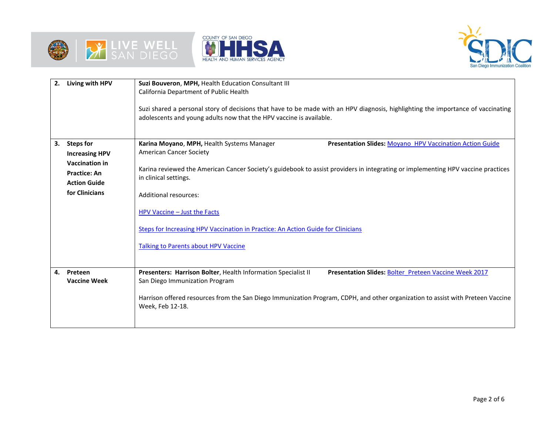





| 2. | Living with HPV                              | Suzi Bouveron, MPH, Health Education Consultant III<br>California Department of Public Health                                                                                                           |  |  |  |  |  |  |  |
|----|----------------------------------------------|---------------------------------------------------------------------------------------------------------------------------------------------------------------------------------------------------------|--|--|--|--|--|--|--|
|    |                                              | Suzi shared a personal story of decisions that have to be made with an HPV diagnosis, highlighting the importance of vaccinating<br>adolescents and young adults now that the HPV vaccine is available. |  |  |  |  |  |  |  |
| 3. | <b>Steps for</b>                             | Karina Moyano, MPH, Health Systems Manager<br>Presentation Slides: Moyano HPV Vaccination Action Guide                                                                                                  |  |  |  |  |  |  |  |
|    | <b>Increasing HPV</b>                        | <b>American Cancer Society</b>                                                                                                                                                                          |  |  |  |  |  |  |  |
|    | <b>Vaccination in</b><br><b>Practice: An</b> | Karina reviewed the American Cancer Society's guidebook to assist providers in integrating or implementing HPV vaccine practices                                                                        |  |  |  |  |  |  |  |
|    | <b>Action Guide</b>                          | in clinical settings.                                                                                                                                                                                   |  |  |  |  |  |  |  |
|    | for Clinicians                               | <b>Additional resources:</b>                                                                                                                                                                            |  |  |  |  |  |  |  |
|    |                                              | HPV Vaccine - Just the Facts                                                                                                                                                                            |  |  |  |  |  |  |  |
|    |                                              | <b>Steps for Increasing HPV Vaccination in Practice: An Action Guide for Clinicians</b>                                                                                                                 |  |  |  |  |  |  |  |
|    |                                              | <b>Talking to Parents about HPV Vaccine</b>                                                                                                                                                             |  |  |  |  |  |  |  |
| 4. | Preteen<br><b>Vaccine Week</b>               | Presenters: Harrison Bolter, Health Information Specialist II<br>Presentation Slides: Bolter Preteen Vaccine Week 2017<br>San Diego Immunization Program                                                |  |  |  |  |  |  |  |
|    |                                              | Harrison offered resources from the San Diego Immunization Program, CDPH, and other organization to assist with Preteen Vaccine<br>Week, Feb 12-18.                                                     |  |  |  |  |  |  |  |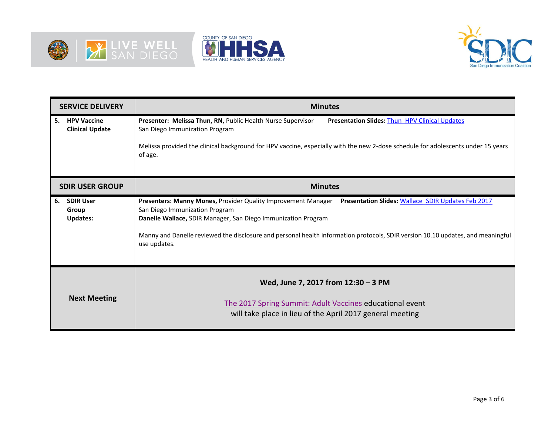





| <b>SERVICE DELIVERY</b>                            | <b>Minutes</b>                                                                                                                                                                                                                                                                                                                                                         |  |  |  |  |  |
|----------------------------------------------------|------------------------------------------------------------------------------------------------------------------------------------------------------------------------------------------------------------------------------------------------------------------------------------------------------------------------------------------------------------------------|--|--|--|--|--|
| 5. HPV Vaccine<br><b>Clinical Update</b>           | Presenter: Melissa Thun, RN, Public Health Nurse Supervisor<br><b>Presentation Slides: Thun HPV Clinical Updates</b><br>San Diego Immunization Program<br>Melissa provided the clinical background for HPV vaccine, especially with the new 2-dose schedule for adolescents under 15 years<br>of age.                                                                  |  |  |  |  |  |
| <b>SDIR USER GROUP</b>                             | <b>Minutes</b>                                                                                                                                                                                                                                                                                                                                                         |  |  |  |  |  |
| <b>SDIR User</b><br>6.<br>Group<br><b>Updates:</b> | Presenters: Manny Mones, Provider Quality Improvement Manager Presentation Slides: Wallace SDIR Updates Feb 2017<br>San Diego Immunization Program<br>Danelle Wallace, SDIR Manager, San Diego Immunization Program<br>Manny and Danelle reviewed the disclosure and personal health information protocols, SDIR version 10.10 updates, and meaningful<br>use updates. |  |  |  |  |  |
| <b>Next Meeting</b>                                | Wed, June 7, 2017 from 12:30 - 3 PM<br>The 2017 Spring Summit: Adult Vaccines educational event<br>will take place in lieu of the April 2017 general meeting                                                                                                                                                                                                           |  |  |  |  |  |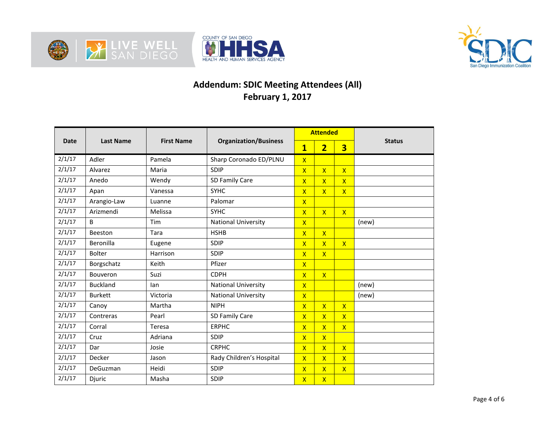





## **Addendum: SDIC Meeting Attendees (All) February 1, 2017**

|             | <b>Last Name</b> | <b>First Name</b> | <b>Organization/Business</b> |                         | <b>Attended</b>         |                         | <b>Status</b> |
|-------------|------------------|-------------------|------------------------------|-------------------------|-------------------------|-------------------------|---------------|
| <b>Date</b> |                  |                   |                              | $\overline{\mathbf{1}}$ | $\overline{2}$          | $\overline{\mathbf{3}}$ |               |
| 2/1/17      | Adler            | Pamela            | Sharp Coronado ED/PLNU       | $\overline{X}$          |                         |                         |               |
| 2/1/17      | Alvarez          | Maria             | SDIP                         | $\overline{X}$          | $\overline{\mathsf{X}}$ | $\overline{\mathsf{x}}$ |               |
| 2/1/17      | Anedo            | Wendy             | SD Family Care               | $\overline{\mathsf{X}}$ | $\overline{\mathsf{x}}$ | $\overline{\mathsf{x}}$ |               |
| 2/1/17      | Apan             | Vanessa           | <b>SYHC</b>                  | $\overline{X}$          | $\overline{\mathsf{X}}$ | $\overline{\mathsf{x}}$ |               |
| 2/1/17      | Arangio-Law      | Luanne            | Palomar                      | $\overline{X}$          |                         |                         |               |
| 2/1/17      | Arizmendi        | Melissa           | <b>SYHC</b>                  | $\overline{X}$          | $\overline{\mathsf{x}}$ | $\mathsf{X}$            |               |
| 2/1/17      | <sub>R</sub>     | Tim               | <b>National University</b>   | $\overline{X}$          |                         |                         | (new)         |
| 2/1/17      | Beeston          | Tara              | <b>HSHB</b>                  | $\overline{X}$          | $\overline{X}$          |                         |               |
| 2/1/17      | Beronilla        | Eugene            | SDIP                         | $\overline{\mathsf{X}}$ | $\overline{\mathsf{x}}$ | $\mathsf{X}$            |               |
| 2/1/17      | <b>Bolter</b>    | Harrison          | SDIP                         | $\overline{X}$          | $\overline{\mathsf{X}}$ |                         |               |
| 2/1/17      | Borgschatz       | Keith             | Pfizer                       | $\overline{\mathsf{X}}$ |                         |                         |               |
| 2/1/17      | Bouveron         | Suzi              | <b>CDPH</b>                  | $\overline{\mathsf{X}}$ | $\overline{\mathsf{x}}$ |                         |               |
| 2/1/17      | <b>Buckland</b>  | lan               | <b>National University</b>   | $\overline{\mathsf{X}}$ |                         |                         | (new)         |
| 2/1/17      | <b>Burkett</b>   | Victoria          | <b>National University</b>   | $\overline{\mathsf{X}}$ |                         |                         | (new)         |
| 2/1/17      | Canoy            | Martha            | <b>NIPH</b>                  | $\overline{\mathsf{X}}$ | $\overline{\mathsf{x}}$ | $\mathsf{X}$            |               |
| 2/1/17      | Contreras        | Pearl             | SD Family Care               | $\overline{\mathsf{X}}$ | $\overline{\mathsf{x}}$ | $\overline{\mathsf{x}}$ |               |
| 2/1/17      | Corral           | Teresa            | <b>ERPHC</b>                 | $\overline{\mathsf{X}}$ | $\overline{\mathsf{X}}$ | $\overline{\mathsf{x}}$ |               |
| 2/1/17      | Cruz             | Adriana           | SDIP                         | $\overline{\mathsf{x}}$ | $\overline{\mathsf{x}}$ |                         |               |
| 2/1/17      | Dar              | Josie             | <b>CRPHC</b>                 | $\overline{\mathsf{X}}$ | $\overline{X}$          | $\mathsf{X}$            |               |
| 2/1/17      | Decker           | Jason             | Rady Children's Hospital     | $\overline{\mathsf{X}}$ | $\overline{\mathsf{X}}$ | $\overline{\mathsf{x}}$ |               |
| 2/1/17      | DeGuzman         | Heidi             | SDIP                         | $\overline{\mathsf{X}}$ | $\overline{X}$          | $\mathsf{X}$            |               |
| 2/1/17      | Djuric           | Masha             | SDIP                         | $\overline{\mathsf{X}}$ | $\overline{X}$          |                         |               |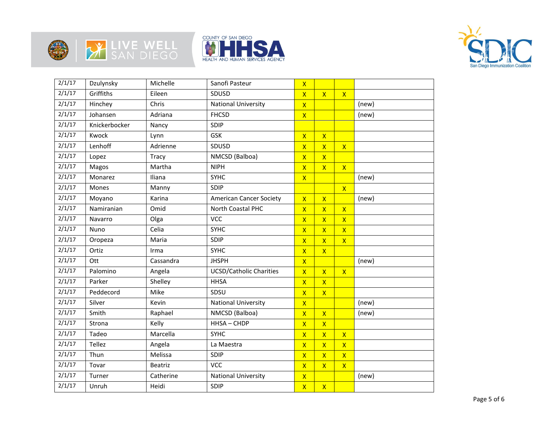







| 2/1/17 | Dzulynsky     | Michelle  | Sanofi Pasteur                 | $\overline{\mathsf{x}}$ |                         |                         |       |  |
|--------|---------------|-----------|--------------------------------|-------------------------|-------------------------|-------------------------|-------|--|
| 2/1/17 | Griffiths     | Eileen    | SDUSD                          | $\overline{X}$          | $\mathsf{X}$            | $\mathsf{X}$            |       |  |
| 2/1/17 | Hinchey       | Chris     | <b>National University</b>     | $\overline{\mathsf{x}}$ |                         |                         | (new) |  |
| 2/1/17 | Johansen      | Adriana   | <b>FHCSD</b>                   | $\mathsf{X}$            |                         |                         | (new) |  |
| 2/1/17 | Knickerbocker | Nancy     | SDIP                           |                         |                         |                         |       |  |
| 2/1/17 | Kwock         | Lynn      | GSK                            | $\mathsf{X}$            | $\mathsf{X}$            |                         |       |  |
| 2/1/17 | Lenhoff       | Adrienne  | SDUSD                          | $\overline{\mathsf{X}}$ | $\overline{\mathsf{X}}$ | $\mathsf{X}$            |       |  |
| 2/1/17 | Lopez         | Tracy     | NMCSD (Balboa)                 | $\overline{\mathsf{X}}$ | $\overline{\mathsf{x}}$ |                         |       |  |
| 2/1/17 | Magos         | Martha    | <b>NIPH</b>                    | $\overline{\mathsf{X}}$ | $\overline{\mathsf{X}}$ | $\overline{\mathsf{x}}$ |       |  |
| 2/1/17 | Monarez       | Iliana    | <b>SYHC</b>                    | $\mathsf{X}$            |                         |                         | (new) |  |
| 2/1/17 | Mones         | Manny     | SDIP                           |                         |                         | $\mathsf{X}$            |       |  |
| 2/1/17 | Moyano        | Karina    | <b>American Cancer Society</b> | $\mathsf{X}$            | $\mathsf{X}$            |                         | (new) |  |
| 2/1/17 | Namiranian    | Omid      | North Coastal PHC              | $\overline{\mathsf{X}}$ | $\overline{\mathsf{X}}$ | $\mathsf{X}$            |       |  |
| 2/1/17 | Navarro       | Olga      | <b>VCC</b>                     | $\overline{\mathsf{X}}$ | $\overline{\mathsf{X}}$ | $\mathsf{X}$            |       |  |
| 2/1/17 | Nuno          | Celia     | <b>SYHC</b>                    | $\overline{\mathsf{x}}$ | $\overline{\mathsf{X}}$ | $\mathsf{X}$            |       |  |
| 2/1/17 | Oropeza       | Maria     | SDIP                           | $\overline{\mathsf{X}}$ | $\overline{\mathsf{X}}$ | $\mathsf{X}$            |       |  |
| 2/1/17 | Ortiz         | Irma      | <b>SYHC</b>                    | $\overline{\mathsf{X}}$ | $\overline{\mathsf{x}}$ |                         |       |  |
| 2/1/17 | Ott           | Cassandra | <b>JHSPH</b>                   | $\overline{\mathsf{x}}$ |                         |                         | (new) |  |
| 2/1/17 | Palomino      | Angela    | <b>UCSD/Catholic Charities</b> | $\overline{\mathsf{X}}$ | $\overline{\mathsf{x}}$ | $\mathsf{X}$            |       |  |
| 2/1/17 | Parker        | Shelley   | <b>HHSA</b>                    | $\mathsf{x}$            | $\overline{\mathsf{x}}$ |                         |       |  |
| 2/1/17 | Peddecord     | Mike      | SDSU                           | $\overline{\mathsf{X}}$ | $\mathsf{X}$            |                         |       |  |
| 2/1/17 | Silver        | Kevin     | <b>National University</b>     | $\overline{\mathsf{x}}$ |                         |                         | (new) |  |
| 2/1/17 | Smith         | Raphael   | NMCSD (Balboa)                 | $\overline{\mathsf{X}}$ | $\mathsf{X}$            |                         | (new) |  |
| 2/1/17 | Strona        | Kelly     | HHSA-CHDP                      | $\overline{\mathsf{X}}$ | $\overline{\mathsf{x}}$ |                         |       |  |
| 2/1/17 | Tadeo         | Marcella  | <b>SYHC</b>                    | $\overline{\mathsf{X}}$ | $\overline{\mathsf{x}}$ | $\overline{\mathsf{X}}$ |       |  |
| 2/1/17 | <b>Tellez</b> | Angela    | La Maestra                     | $\overline{\mathsf{x}}$ | $\overline{\mathsf{X}}$ | $\overline{\mathsf{x}}$ |       |  |
| 2/1/17 | Thun          | Melissa   | SDIP                           | $\overline{\mathsf{X}}$ | $\overline{\mathsf{X}}$ | $\overline{\mathsf{X}}$ |       |  |
| 2/1/17 | Tovar         | Beatriz   | <b>VCC</b>                     | $\overline{\mathsf{X}}$ | $\overline{\mathsf{X}}$ | $\overline{\mathsf{X}}$ |       |  |
| 2/1/17 | Turner        | Catherine | <b>National University</b>     | $\overline{\mathsf{x}}$ |                         |                         | (new) |  |
| 2/1/17 | Unruh         | Heidi     | SDIP                           | $\overline{\mathsf{X}}$ | $\mathsf{X}$            |                         |       |  |